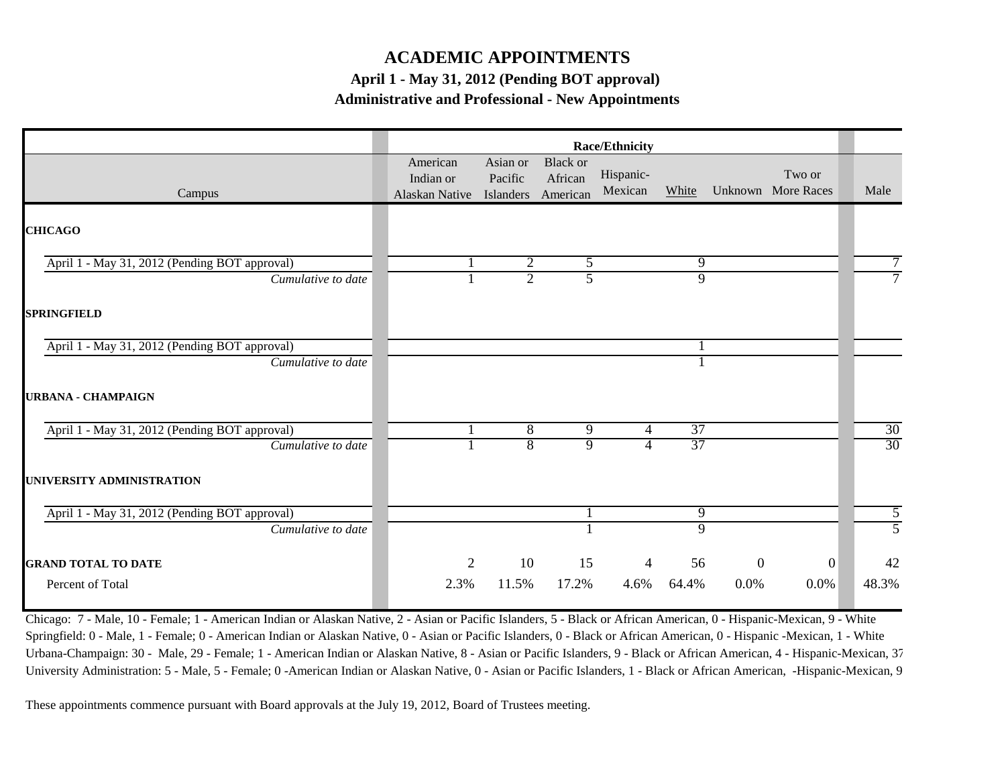## **ACADEMIC APPOINTMENTS**

**April 1 - May 31, 2012 (Pending BOT approval)** 

**Administrative and Professional - New Appointments**

|                                               | Race/Ethnicity                          |                                  |                                        |                      |                 |              |                              |                 |
|-----------------------------------------------|-----------------------------------------|----------------------------------|----------------------------------------|----------------------|-----------------|--------------|------------------------------|-----------------|
| Campus                                        | American<br>Indian or<br>Alaskan Native | Asian or<br>Pacific<br>Islanders | <b>Black</b> or<br>African<br>American | Hispanic-<br>Mexican | White           |              | Two or<br>Unknown More Races | Male            |
| <b>CHICAGO</b>                                |                                         |                                  |                                        |                      |                 |              |                              |                 |
| April 1 - May 31, 2012 (Pending BOT approval) |                                         | 2                                | 5                                      |                      | 9               |              |                              |                 |
| Cumulative to date                            |                                         | $\overline{2}$                   | $\overline{5}$                         |                      | $\overline{9}$  |              |                              |                 |
| <b>SPRINGFIELD</b>                            |                                         |                                  |                                        |                      |                 |              |                              |                 |
| April 1 - May 31, 2012 (Pending BOT approval) |                                         |                                  |                                        |                      |                 |              |                              |                 |
| Cumulative to date                            |                                         |                                  |                                        |                      |                 |              |                              |                 |
| <b>URBANA - CHAMPAIGN</b>                     |                                         |                                  |                                        |                      |                 |              |                              |                 |
| April 1 - May 31, 2012 (Pending BOT approval) |                                         | 8                                | 9                                      | 4                    | 37              |              |                              | 30              |
| Cumulative to date                            |                                         | $\overline{8}$                   | 9                                      | 4                    | $\overline{37}$ |              |                              | $\overline{30}$ |
| UNIVERSITY ADMINISTRATION                     |                                         |                                  |                                        |                      |                 |              |                              |                 |
| April 1 - May 31, 2012 (Pending BOT approval) |                                         |                                  |                                        |                      | 9               |              |                              | 5               |
| Cumulative to date                            |                                         |                                  |                                        |                      | 9               |              |                              | 5               |
|                                               | $\overline{2}$                          | 10                               | 15                                     | 4                    | 56              | $\mathbf{0}$ | $\vert 0 \vert$              | 42              |
| Percent of Total                              | 2.3%                                    | 11.5%                            | 17.2%                                  | 4.6%                 | 64.4%           | 0.0%         | 0.0%                         | 48.3%           |
| <b>GRAND TOTAL TO DATE</b>                    |                                         |                                  |                                        |                      |                 |              |                              |                 |

Chicago: 7 - Male, 10 - Female; 1 - American Indian or Alaskan Native, 2 - Asian or Pacific Islanders, 5 - Black or African American, 0 - Hispanic-Mexican, 9 - White Springfield: 0 - Male, 1 - Female; 0 - American Indian or Alaskan Native, 0 - Asian or Pacific Islanders, 0 - Black or African American, 0 - Hispanic -Mexican, 1 - White Urbana-Champaign: 30 - Male, 29 - Female; 1 - American Indian or Alaskan Native, 8 - Asian or Pacific Islanders, 9 - Black or African American, 4 - Hispanic-Mexican, 37 University Administration: 5 - Male, 5 - Female; 0 - American Indian or Alaskan Native, 0 - Asian or Pacific Islanders, 1 - Black or African American, -Hispanic-Mexican, 9

These appointments commence pursuant with Board approvals at the July 19, 2012, Board of Trustees meeting.